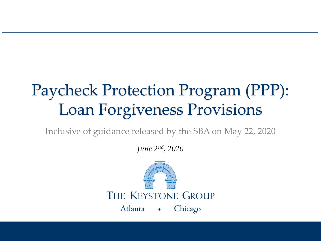# Paycheck Protection Program (PPP): Loan Forgiveness Provisions

Inclusive of guidance released by the SBA on May 22, 2020

*June 2nd, 2020*

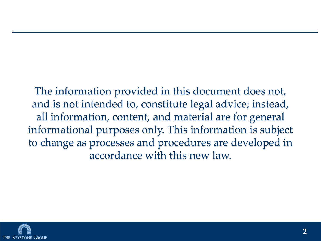The information provided in this document does not, and is not intended to, constitute legal advice; instead, all information, content, and material are for general informational purposes only. This information is subject to change as processes and procedures are developed in accordance with this new law.

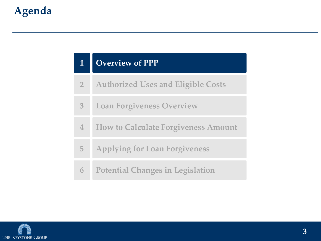|                | <b>Overview of PPP</b>                     |
|----------------|--------------------------------------------|
| 2 <sup>1</sup> | <b>Authorized Uses and Eligible Costs</b>  |
| $\overline{3}$ | <b>Loan Forgiveness Overview</b>           |
| $\overline{4}$ | <b>How to Calculate Forgiveness Amount</b> |
| 5              | <b>Applying for Loan Forgiveness</b>       |
| 6              | <b>Potential Changes in Legislation</b>    |

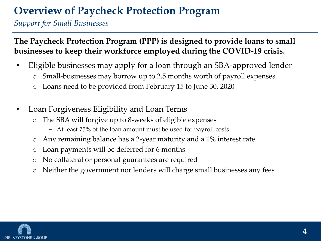### **Overview of Paycheck Protection Program**

*Support for Small Businesses*

**The Paycheck Protection Program (PPP) is designed to provide loans to small businesses to keep their workforce employed during the COVID-19 crisis.**

- Eligible businesses may apply for a loan through an SBA-approved lender
	- o Small-businesses may borrow up to 2.5 months worth of payroll expenses
	- o Loans need to be provided from February 15 to June 30, 2020
- Loan Forgiveness Eligibility and Loan Terms
	- o The SBA will forgive up to 8-weeks of eligible expenses
		- − At least 75% of the loan amount must be used for payroll costs
	- o Any remaining balance has a 2-year maturity and a 1% interest rate
	- o Loan payments will be deferred for 6 months
	- o No collateral or personal guarantees are required
	- o Neither the government nor lenders will charge small businesses any fees

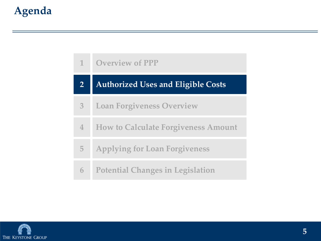| $\mathbf{1}$            | <b>Overview of PPP</b>                     |
|-------------------------|--------------------------------------------|
| $\overline{\mathbf{2}}$ | <b>Authorized Uses and Eligible Costs</b>  |
| $\overline{3}$          | <b>Loan Forgiveness Overview</b>           |
| $\overline{4}$          | <b>How to Calculate Forgiveness Amount</b> |
| 5                       | <b>Applying for Loan Forgiveness</b>       |
| 6                       | <b>Potential Changes in Legislation</b>    |

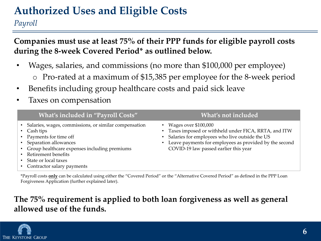### **Authorized Uses and Eligible Costs**

*Payroll*

**Companies must use at least 75% of their PPP funds for eligible payroll costs during the 8-week Covered Period\* as outlined below.** 

- Wages, salaries, and commissions (no more than \$100,000 per employee) o Pro-rated at a maximum of \$15,385 per employee for the 8-week period
- Benefits including group healthcare costs and paid sick leave
- Taxes on compensation

| What's included in "Payroll Costs"                                                                                                                                                                                                                                | What's not included                                                                                                                                                                                                                       |
|-------------------------------------------------------------------------------------------------------------------------------------------------------------------------------------------------------------------------------------------------------------------|-------------------------------------------------------------------------------------------------------------------------------------------------------------------------------------------------------------------------------------------|
| • Salaries, wages, commissions, or similar compensation<br>• Cash tips<br>• Payments for time off<br>• Separation allowances<br>• Group healthcare expenses including premiums<br>• Retirement benefits<br>• State or local taxes<br>• Contractor salary payments | • Wages over $$100,000$<br>• Taxes imposed or withheld under FICA, RRTA, and ITW<br>• Salaries for employees who live outside the US<br>• Leave payments for employees as provided by the second<br>COVID-19 law passed earlier this year |

\*Payroll costs **only** can be calculated using either the "Covered Period" or the "Alternative Covered Period" as defined in the PPP Loan Forgiveness Application (further explained later).

#### **The 75% requirement is applied to both loan forgiveness as well as general allowed use of the funds.**

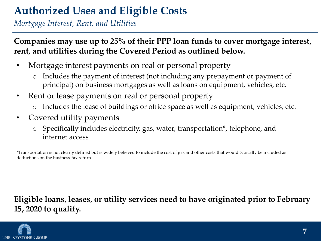### **Authorized Uses and Eligible Costs**

*Mortgage Interest, Rent, and Utilities*

**Companies may use up to 25% of their PPP loan funds to cover mortgage interest, rent, and utilities during the Covered Period as outlined below.** 

- Mortgage interest payments on real or personal property
	- o Includes the payment of interest (not including any prepayment or payment of principal) on business mortgages as well as loans on equipment, vehicles, etc.
- Rent or lease payments on real or personal property
	- Includes the lease of buildings or office space as well as equipment, vehicles, etc.
- Covered utility payments
	- o Specifically includes electricity, gas, water, transportation\*, telephone, and internet access

\*Transportation is not clearly defined but is widely believed to include the cost of gas and other costs that would typically be included as deductions on the business-tax return

#### **Eligible loans, leases, or utility services need to have originated prior to February 15, 2020 to qualify.**

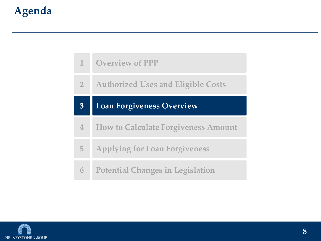| 1              | <b>Overview of PPP</b>                     |
|----------------|--------------------------------------------|
| $\overline{2}$ | <b>Authorized Uses and Eligible Costs</b>  |
| $\mathbf{3}$   | <b>Loan Forgiveness Overview</b>           |
| $\mathbf 4$    | <b>How to Calculate Forgiveness Amount</b> |
| $\overline{5}$ | <b>Applying for Loan Forgiveness</b>       |
|                | <b>Potential Changes in Legislation</b>    |

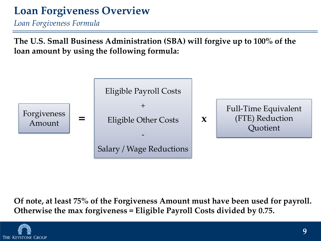### **Loan Forgiveness Overview**

*Loan Forgiveness Formula*

**The U.S. Small Business Administration (SBA) will forgive up to 100% of the loan amount by using the following formula:**



**Of note, at least 75% of the Forgiveness Amount must have been used for payroll. Otherwise the max forgiveness = Eligible Payroll Costs divided by 0.75.**

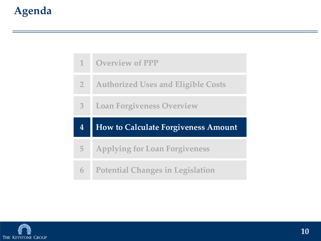| $\mathbf{1}$   | <b>Overview of PPP</b>                     |
|----------------|--------------------------------------------|
| 2 <sup>1</sup> | <b>Authorized Uses and Eligible Costs</b>  |
| $\overline{3}$ | <b>Loan Forgiveness Overview</b>           |
|                |                                            |
| 4              | <b>How to Calculate Forgiveness Amount</b> |
| 5              | <b>Applying for Loan Forgiveness</b>       |

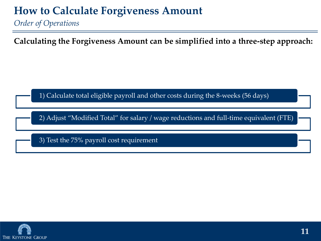*Order of Operations*

**Calculating the Forgiveness Amount can be simplified into a three-step approach:** 

1) Calculate total eligible payroll and other costs during the 8-weeks (56 days)

2) Adjust "Modified Total" for salary / wage reductions and full-time equivalent (FTE)

3) Test the 75% payroll cost requirement

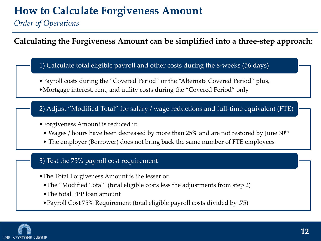*Order of Operations*

**Calculating the Forgiveness Amount can be simplified into a three-step approach:**

1) Calculate total eligible payroll and other costs during the 8-weeks (56 days)

- •Payroll costs during the "Covered Period" or the "Alternate Covered Period" plus,
- •Mortgage interest, rent, and utility costs during the "Covered Period" only

2) Adjust "Modified Total" for salary / wage reductions and full-time equivalent (FTE)

- •Forgiveness Amount is reduced if:
	- Wages / hours have been decreased by more than 25% and are not restored by June 30<sup>th</sup>
	- The employer (Borrower) does not bring back the same number of FTE employees

#### 3) Test the 75% payroll cost requirement

- •The Total Forgiveness Amount is the lesser of:
	- •The "Modified Total" (total eligible costs less the adjustments from step 2)
	- •The total PPP loan amount
	- •Payroll Cost 75% Requirement (total eligible payroll costs divided by .75)

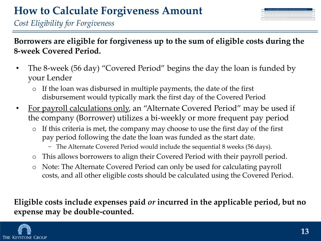| 1) Calculate total eligible payroll and other costs during the 8-weeks (56 days)  |  |
|-----------------------------------------------------------------------------------|--|
| Adjust "Modified Total" for salary / wage reductions and full-time equivalent (F1 |  |
| Test the 75% payroll cost requirement.                                            |  |

*Cost Eligibility for Forgiveness*

**Borrowers are eligible for forgiveness up to the sum of eligible costs during the 8-week Covered Period.**

- The 8-week (56 day) "Covered Period" begins the day the loan is funded by your Lender
	- o If the loan was disbursed in multiple payments, the date of the first disbursement would typically mark the first day of the Covered Period
- For payroll calculations only, an "Alternate Covered Period" may be used if the company (Borrower) utilizes a bi-weekly or more frequent pay period
	- o If this criteria is met, the company may choose to use the first day of the first pay period following the date the loan was funded as the start date.
		- − The Alternate Covered Period would include the sequential 8 weeks (56 days).
	- o This allows borrowers to align their Covered Period with their payroll period.
	- o Note: The Alternate Covered Period can only be used for calculating payroll costs, and all other eligible costs should be calculated using the Covered Period.

**Eligible costs include expenses paid** *or* **incurred in the applicable period, but no expense may be double-counted.**

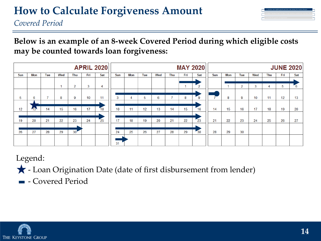*Covered Period*

**Below is an example of an 8-week Covered Period during which eligible costs may be counted towards loan forgiveness:**

|     |              |     |     |                 |     | <b>APRIL 2020</b> |     |     |     |     |     |     | <b>MAY 2020</b> |     |     |     |     |            |                   | <b>JUNE 2020</b> |
|-----|--------------|-----|-----|-----------------|-----|-------------------|-----|-----|-----|-----|-----|-----|-----------------|-----|-----|-----|-----|------------|-------------------|------------------|
| Sun | Mon          | Tue | Wed | Thu             | Fri | Sat               | Sun | Mon | Tue | Wed | Thu | Fri | Sat             | Sun | Mon | Tue | Wed | <b>Thu</b> | Fri               | Sat              |
|     |              |     |     |                 |     |                   |     |     |     |     |     |     |                 |     |     |     |     |            |                   |                  |
|     |              |     |     | 2               | 3   | 4                 |     |     |     |     |     |     | 2               |     |     | 2   | 3   | 4          | 5                 | $\overline{6}$   |
|     |              |     |     |                 |     |                   |     |     |     |     |     |     |                 |     |     |     |     |            |                   |                  |
| 5   | 6            |     | 8   | 9               | 10  | 11                | 3   | 4   | 5   | 6   |     | 8   | $\overline{9}$  |     | 8   | 9   | 10  | 11         | $12 \overline{ }$ | 13               |
|     |              |     |     |                 |     |                   |     |     |     |     |     |     |                 |     |     |     |     |            |                   |                  |
| 12  | $13^{\circ}$ | 14  | 15  | 16              | 17  | <b>18</b>         | 10  | 11  | 12  | 13  | 14  | 15  | 16              | 14  | 15  | 16  | 17  | 18         | 19                | 20               |
|     |              |     |     |                 |     |                   |     |     |     |     |     |     |                 |     |     |     |     |            |                   |                  |
| 19  | 20           | 21  | 22  | 23              | 24  | 25                | 17  | 18  | 19  | 20  | 21  | 22  | $\overline{23}$ | 21  | 22  | 23  | 24  | 25         | 26                | 27               |
|     |              |     |     |                 |     |                   |     |     |     |     |     |     |                 |     |     |     |     |            |                   |                  |
| 26  | 27           | 28  | 29  | 30 <sup>°</sup> |     |                   | 24  | 25  | 26  | 27  | 28  | 29  | $-30$           | 28  | 29  | 30  |     |            |                   |                  |
|     |              |     |     |                 |     |                   |     |     |     |     |     |     |                 |     |     |     |     |            |                   |                  |
|     |              |     |     |                 |     |                   | 31  |     |     |     |     |     |                 |     |     |     |     |            |                   |                  |

Legend:

- Loan Origination Date (date of first disbursement from lender)

**- Covered Period** 

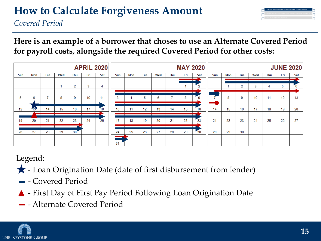*Covered Period*

**Here is an example of a borrower that choses to use an Alternate Covered Period for payroll costs, alongside the required Covered Period for other costs:** 

|     |     |     |     |                 |     | <b>APRIL 2020</b> |     |     |     |     |     |     | <b>MAY 2020</b> |     |     |     |     |            |     | <b>JUNE 2020</b> |
|-----|-----|-----|-----|-----------------|-----|-------------------|-----|-----|-----|-----|-----|-----|-----------------|-----|-----|-----|-----|------------|-----|------------------|
| Sun | Mon | Tue | Wed | Thu             | Fri | Sat               | Sun | Mon | Tue | Wed | Thu | Fri | Sat             | Sun | Mon | Tue | Wed | <b>Thu</b> | Fri | Sat              |
|     |     |     |     |                 |     |                   |     |     |     |     |     |     | __              |     |     |     |     |            |     |                  |
|     |     |     |     | 2               | 3   | 4                 |     |     |     |     |     |     | $\sim$          |     |     | 2   | 3   |            | b   |                  |
|     |     |     |     |                 |     |                   |     |     |     |     |     |     | —<br>—          |     |     |     |     |            |     |                  |
| 5   | 6   | н., | 8   | 9               | 10  | 11                | 3   | 4   | 5   | 6   |     | 8   | 9               |     | 8   | 9   | 10  | 11         | 12  | 13               |
|     |     |     |     |                 |     |                   |     |     |     |     |     |     | −               |     |     |     |     |            |     |                  |
| 12  | 13  | 14  | 15  | 16              | 17  | 18                | 10  | 11  | 12  | 13  | 14  | 15  | 16              | 14  | 15  | 16  | 17  | 18         | 19  | 20               |
|     |     |     |     |                 |     |                   |     |     |     |     |     |     | ┬               |     |     |     |     |            |     |                  |
| 19  | 20  | 21  | 22  | 23              | 24  | 25                | 17  | 18  | 19  | 20  | 21  | 22  | 23              | 21  | 22  | 23  | 24  | 25         | 26  | 27               |
|     |     |     |     |                 |     |                   |     |     |     |     |     |     |                 |     |     |     |     |            |     |                  |
| 26  | 27  | 28  | 29  | 30 <sup>7</sup> |     |                   | 24  | 25  | 26  | 27  | 28  | 29  | $\frac{1}{30}$  | 28  | 29  | 30  |     |            |     |                  |
|     |     |     |     |                 |     |                   |     |     |     |     |     |     |                 |     |     |     |     |            |     |                  |
|     |     |     |     |                 |     |                   | 31  |     |     |     |     |     |                 |     |     |     |     |            |     |                  |

Legend:

- Loan Origination Date (date of first disbursement from lender)
- **-** Covered Period
- First Day of First Pay Period Following Loan Origination Date
- Alternate Covered Period

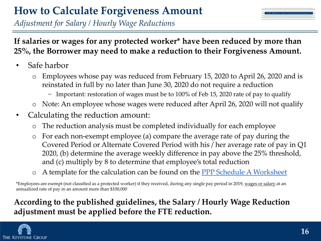*Adjustment for Salary / Hourly Wage Reductions*



#### **If salaries or wages for any protected worker\* have been reduced by more than 25%, the Borrower may need to make a reduction to their Forgiveness Amount.**

- Safe harbor
	- o Employees whose pay was reduced from February 15, 2020 to April 26, 2020 and is reinstated in full by no later than June 30, 2020 do not require a reduction
		- − Important: restoration of wages must be to 100% of Feb 15, 2020 rate of pay to qualify
	- o Note: An employee whose wages were reduced after April 26, 2020 will not qualify
- Calculating the reduction amount:
	- o The reduction analysis must be completed individually for each employee
	- o For each non-exempt employee (a) compare the average rate of pay during the Covered Period or Alternate Covered Period with his / her average rate of pay in Q1 2020, (b) determine the average weekly difference in pay above the 25% threshold, and (c) multiply by 8 to determine that employee's total reduction
	- o A template for the calculation can be found on the [PPP Schedule A Worksheet](https://www.sba.gov/sites/default/files/2020-05/3245-0407%20SBA%20Form%203508%20PPP%20Forgiveness%20Application.pdf)

\*Employees are exempt (not classified as a protected worker) if they received, during any single pay period in 2019, wages or salary at an annualized rate of pay in an amount more than \$100,000

#### **According to the published guidelines, the Salary / Hourly Wage Reduction adjustment must be applied before the FTE reduction.**

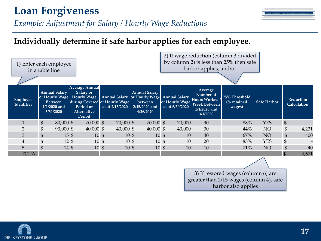### **Loan Forgiveness**

*Example: Adjustment for Salary / Hourly Wage Reductions*

#### **Individually determine if safe harbor applies for each employee.**

|                               | 1) Enter each employee<br>in a table line                                               |                                                                                                       |                                                  |                                                                                                               | 2) If wage reduction (column 3 divided<br>by column 2) is less than 25% then safe<br>harbor applies, and/or |                                                                                                    |                                                   |                    |                            |                          |  |  |
|-------------------------------|-----------------------------------------------------------------------------------------|-------------------------------------------------------------------------------------------------------|--------------------------------------------------|---------------------------------------------------------------------------------------------------------------|-------------------------------------------------------------------------------------------------------------|----------------------------------------------------------------------------------------------------|---------------------------------------------------|--------------------|----------------------------|--------------------------|--|--|
| Employee<br><b>Identifier</b> | <b>Annual Salary</b><br>or Hourly Wage<br><b>Between</b><br>$1/1/2020$ and<br>3/31/2020 | <b>Average Annual</b><br><b>Salary or</b><br><b>Hourly Wage</b><br>Period or<br>Alternative<br>Period | during Covered or Hourly Wage<br>as of 2/15/2020 | <b>Annual Salary</b><br>Annual Salary or Hourly Wage Annual Salary<br>between<br>$2/15/2020$ and<br>4/26/2020 | or Hourly Wage<br>as of 6/30/2020                                                                           | Average<br>Number of<br><b>Hours Worked /</b><br><b>Week Between</b><br>$1/1/2020$ and<br>3/1/2020 | 75% Threshold<br>$\frac{6}{6}$ retained<br>wages) | <b>Safe Harbor</b> |                            | Reduction<br>Calculation |  |  |
|                               | $\frac{1}{2}$<br>80,000 \$                                                              | 70,000 \$                                                                                             | 70,000 \$                                        | 70,000 \$                                                                                                     | 70,000                                                                                                      | 40                                                                                                 | 88%                                               | <b>YES</b>         | $\boldsymbol{\mathsf{\$}}$ |                          |  |  |
| $\overline{2}$                | \$<br>$90,000$ \$                                                                       | $40,000$ \$                                                                                           | 40,000 \$                                        | $40,000$ \$                                                                                                   | 40,000                                                                                                      | 30                                                                                                 | 44%                                               | NO                 | $\$\,$                     | 4,231                    |  |  |
| 3                             | \$<br>$15 \text{ }$ \$                                                                  |                                                                                                       | $10 \text{ }$ \$                                 | 10 <sup>5</sup>                                                                                               | 10 <sub>5</sub><br>10                                                                                       | 40                                                                                                 | 67%                                               | NO                 | $\$\$                      | 400                      |  |  |
| 4                             | \$<br>$12 \text{ }$ \$                                                                  |                                                                                                       | 10 <sup>5</sup>                                  | 10 <sub>5</sub>                                                                                               | 10 <sup>5</sup><br>10                                                                                       | 20                                                                                                 | 83%                                               | <b>YES</b>         | \$                         |                          |  |  |
| 5                             | $\mathfrak{S}$<br>$14 \text{ }$ \$                                                      |                                                                                                       | 10 <sub>5</sub>                                  | 10 <sup>5</sup>                                                                                               | 10<br>$10 \text{ }$ \$                                                                                      | 10                                                                                                 | 71%                                               | NO                 | $\$\,$                     | 40                       |  |  |
| <b>TOTAL</b>                  |                                                                                         |                                                                                                       |                                                  |                                                                                                               |                                                                                                             |                                                                                                    |                                                   |                    | $\mathfrak{S}$             | 4,671                    |  |  |
|                               |                                                                                         |                                                                                                       |                                                  |                                                                                                               |                                                                                                             |                                                                                                    |                                                   |                    |                            |                          |  |  |

3) If restored wages (column 6) are greater than 2/15 wages (column 4), safe harbor also applies



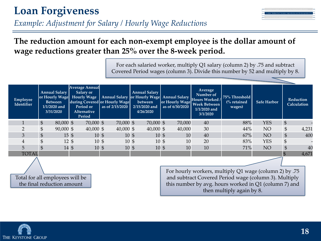### **Loan Forgiveness**

#### **The reduction amount for each non-exempt employee is the dollar amount of wage reductions greater than 25% over the 8-week period.**

For each salaried worker, multiply Q1 salary (column 2) by .75 and subtract Covered Period wages (column 3). Divide this number by 52 and multiply by 8.

| Employee<br>Identifier |                | <b>Average Annual</b><br><b>Annual Salary</b><br>Salary or<br><b>Hourly Wage</b><br>or Hourly Wage<br><b>Between</b><br>$1/1/2020$ and<br>Period or<br>3/31/2020<br><b>Alternative</b><br>Period |  | <b>Annual Salary</b><br>Annual Salary or Hourly Wage Annual Salary<br>during Covered or Hourly Wage<br>between<br>as of 2/15/2020<br>2/15/2020 and<br>4/26/2020 |  |                      | or Hourly Wage<br>as of 6/30/2020 |                 | Average<br>Number of<br>Hours Worked /<br><b>Week Between</b><br>$1/1/2020$ and<br>3/1/2020 | 75% Threshold<br>$\frac{6}{6}$ retained<br>wages) | <b>Safe Harbor</b> | <b>Reduction</b><br>Calculation |            |                           |       |
|------------------------|----------------|--------------------------------------------------------------------------------------------------------------------------------------------------------------------------------------------------|--|-----------------------------------------------------------------------------------------------------------------------------------------------------------------|--|----------------------|-----------------------------------|-----------------|---------------------------------------------------------------------------------------------|---------------------------------------------------|--------------------|---------------------------------|------------|---------------------------|-------|
|                        | $\mathfrak{S}$ | $80,000$ \$                                                                                                                                                                                      |  | 70,000 \$                                                                                                                                                       |  | 70,000 \$            |                                   | 70,000 \$       |                                                                                             | 70,000                                            | 40                 | 88%                             | YES        | $\frac{1}{2}$             |       |
| ∍                      | $\mathfrak{S}$ | $90,000$ \$                                                                                                                                                                                      |  | $40,000$ \$                                                                                                                                                     |  | $40,000 \text{ }$ \$ |                                   | $40,000$ \$     |                                                                                             | 40,000                                            | 30                 | 44%                             | NO         | \$                        | 4,231 |
| 3                      | $\mathfrak{S}$ | $15 \text{ }$ \$                                                                                                                                                                                 |  | 10 <sub>5</sub>                                                                                                                                                 |  | 10 <sub>5</sub>      |                                   | 10 <sub>5</sub> |                                                                                             | 10                                                | 40                 | 67%                             | NO         | $\frac{1}{2}$             | 400   |
| 4                      |                | $12 \text{ }$ \$                                                                                                                                                                                 |  | $10 \text{ }$ \$                                                                                                                                                |  | 10 <sup>5</sup>      |                                   | 10 <sub>5</sub> |                                                                                             | 10                                                | 20                 | 83%                             | <b>YES</b> | $\boldsymbol{\mathsf{S}}$ |       |
| 5                      |                | $14 \text{ }$ \$                                                                                                                                                                                 |  | 10 <sub>5</sub>                                                                                                                                                 |  | 10 <sub>5</sub>      |                                   | 10 <sub>5</sub> |                                                                                             | 10                                                | 10                 | 71%                             | NO         | $\mathfrak{S}$            | 40    |
| <b>TOTAL</b>           |                |                                                                                                                                                                                                  |  |                                                                                                                                                                 |  |                      |                                   |                 |                                                                                             |                                                   |                    |                                 |            |                           | 4,671 |
|                        |                |                                                                                                                                                                                                  |  |                                                                                                                                                                 |  |                      |                                   |                 |                                                                                             |                                                   |                    |                                 |            |                           |       |

Total for all employees will be the final reduction amount

For hourly workers, multiply Q1 wage (column 2) by .75 and subtract Covered Period wage (column 3). Multiply this number by avg. hours worked in Q1 (column 7) and then multiply again by 8.

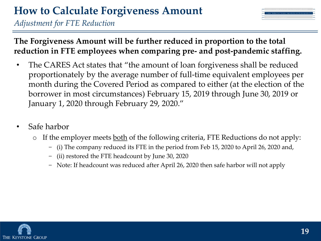*Adjustment for FTE Reduction*



#### **The Forgiveness Amount will be further reduced in proportion to the total reduction in FTE employees when comparing pre- and post-pandemic staffing.**

- The CARES Act states that "the amount of loan forgiveness shall be reduced proportionately by the average number of full-time equivalent employees per month during the Covered Period as compared to either (at the election of the borrower in most circumstances) February 15, 2019 through June 30, 2019 or January 1, 2020 through February 29, 2020."
- Safe harbor
	- $\circ$  If the employer meets <u>both</u> of the following criteria, FTE Reductions do not apply:
		- − (i) The company reduced its FTE in the period from Feb 15, 2020 to April 26, 2020 and,
		- − (ii) restored the FTE headcount by June 30, 2020
		- − Note: If headcount was reduced after April 26, 2020 then safe harbor will not apply

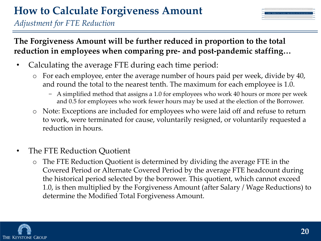*Adjustment for FTE Reduction*

**The Forgiveness Amount will be further reduced in proportion to the total reduction in employees when comparing pre- and post-pandemic staffing…** 

- Calculating the average FTE during each time period:
	- o For each employee, enter the average number of hours paid per week, divide by 40, and round the total to the nearest tenth. The maximum for each employee is 1.0.
		- − A simplified method that assigns a 1.0 for employees who work 40 hours or more per week and 0.5 for employees who work fewer hours may be used at the election of the Borrower.
	- o Note: Exceptions are included for employees who were laid off and refuse to return to work, were terminated for cause, voluntarily resigned, or voluntarily requested a reduction in hours.
- The FTE Reduction Quotient
	- o The FTE Reduction Quotient is determined by dividing the average FTE in the Covered Period or Alternate Covered Period by the average FTE headcount during the historical period selected by the borrower. This quotient, which cannot exceed 1.0, is then multiplied by the Forgiveness Amount (after Salary / Wage Reductions) to determine the Modified Total Forgiveness Amount.

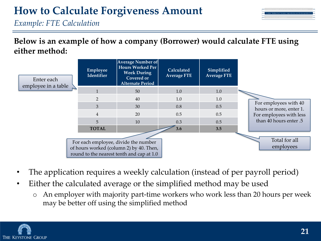| sayroll and other costs during the S-weeks (56 day                                     |  |
|----------------------------------------------------------------------------------------|--|
| 2) Adjust "Modified Total" for salary / wage reductions and full-time equivalent (FTE) |  |
|                                                                                        |  |

*Example: FTE Calculation*

**Below is an example of how a company (Borrower) would calculate FTE using either method:**



- The application requires a weekly calculation (instead of per payroll period)
- Either the calculated average or the simplified method may be used
	- o An employer with majority part-time workers who work less than 20 hours per week may be better off using the simplified method

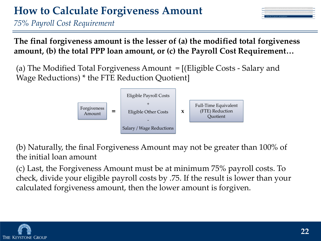*75% Payroll Cost Requirement*

**The final forgiveness amount is the lesser of (a) the modified total forgiveness amount, (b) the total PPP loan amount, or (c) the Payroll Cost Requirement…** 

(a) The Modified Total Forgiveness Amount = [(Eligible Costs - Salary and Wage Reductions) \* the FTE Reduction Quotient]



(b) Naturally, the final Forgiveness Amount may not be greater than 100% of the initial loan amount

(c) Last, the Forgiveness Amount must be at minimum 75% payroll costs. To check, divide your eligible payroll costs by .75. If the result is lower than your calculated forgiveness amount, then the lower amount is forgiven.

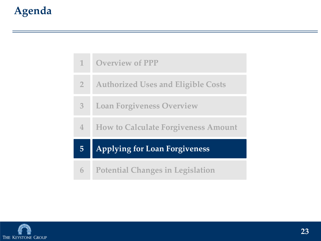|                | <b>Potential Changes in Legislation</b>    |
|----------------|--------------------------------------------|
| $\overline{5}$ | <b>Applying for Loan Forgiveness</b>       |
| $\mathbf 4$    | <b>How to Calculate Forgiveness Amount</b> |
| 3              | <b>Loan Forgiveness Overview</b>           |
| 2 <sup>1</sup> | <b>Authorized Uses and Eligible Costs</b>  |
| 1              | <b>Overview of PPP</b>                     |

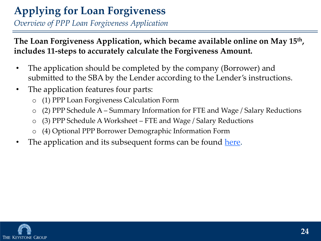### **Applying for Loan Forgiveness**

*Overview of PPP Loan Forgiveness Application*

**The Loan Forgiveness Application, which became available online on May 15th , includes 11-steps to accurately calculate the Forgiveness Amount.**

- The application should be completed by the company (Borrower) and submitted to the SBA by the Lender according to the Lender's instructions.
- The application features four parts:
	- o (1) PPP Loan Forgiveness Calculation Form
	- o (2) PPP Schedule A Summary Information for FTE and Wage / Salary Reductions
	- o (3) PPP Schedule A Worksheet FTE and Wage / Salary Reductions
	- (4) Optional PPP Borrower Demographic Information Form
- The application and its subsequent forms can be found [here](https://www.sba.gov/sites/default/files/2020-05/3245-0407%20SBA%20Form%203508%20PPP%20Forgiveness%20Application.pdf).

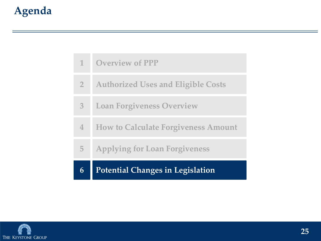|                | <b>Potential Changes in Legislation</b>    |
|----------------|--------------------------------------------|
| 5              | <b>Applying for Loan Forgiveness</b>       |
| $\mathbf 4$    | <b>How to Calculate Forgiveness Amount</b> |
| $\overline{3}$ | <b>Loan Forgiveness Overview</b>           |
| 2 <sup>1</sup> | <b>Authorized Uses and Eligible Costs</b>  |
| $\mathbf{T}$   | <b>Overview of PPP</b>                     |

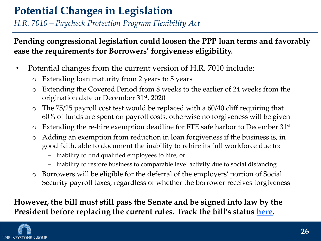### **Potential Changes in Legislation**

*H.R. 7010 – Paycheck Protection Program Flexibility Act*

**Pending congressional legislation could loosen the PPP loan terms and favorably ease the requirements for Borrowers' forgiveness eligibility.** 

- Potential changes from the current version of H.R. 7010 include:
	- o Extending loan maturity from 2 years to 5 years
	- o Extending the Covered Period from 8 weeks to the earlier of 24 weeks from the origination date or December 31st, 2020
	- o The 75/25 payroll cost test would be replaced with a 60/40 cliff requiring that 60% of funds are spent on payroll costs, otherwise no forgiveness will be given
	- $\circ$  Extending the re-hire exemption deadline for FTE safe harbor to December 31st
	- o Adding an exemption from reduction in loan forgiveness if the business is, in good faith, able to document the inability to rehire its full workforce due to:
		- − Inability to find qualified employees to hire, or
		- − Inability to restore business to comparable level activity due to social distancing
	- o Borrowers will be eligible for the deferral of the employers' portion of Social Security payroll taxes, regardless of whether the borrower receives forgiveness

**However, the bill must still pass the Senate and be signed into law by the President before replacing the current rules. Track the bill's status [here](https://www.congress.gov/bill/116th-congress/house-bill/7010).**